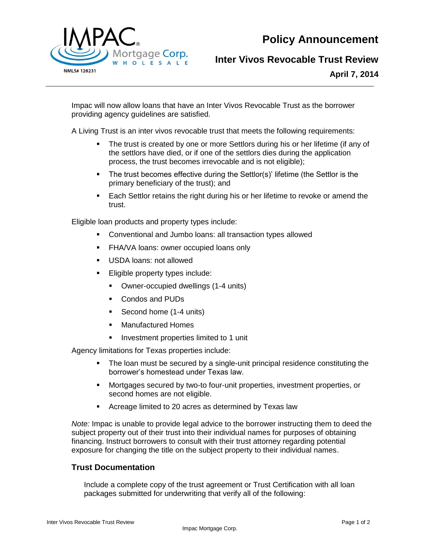**Policy Announcement**



## **Inter Vivos Revocable Trust Review**

**April 7, 2014**

Impac will now allow loans that have an Inter Vivos Revocable Trust as the borrower providing agency guidelines are satisfied.

A Living Trust is an inter vivos revocable trust that meets the following requirements:

- The trust is created by one or more Settlors during his or her lifetime (if any of the settlors have died, or if one of the settlors dies during the application process, the trust becomes irrevocable and is not eligible);
- The trust becomes effective during the Settlor(s)' lifetime (the Settlor is the primary beneficiary of the trust); and
- Each Settlor retains the right during his or her lifetime to revoke or amend the trust.

Eligible loan products and property types include:

- Conventional and Jumbo loans: all transaction types allowed
- **FHA/VA loans: owner occupied loans only**
- USDA loans: not allowed
- **Eligible property types include:** 
	- Owner-occupied dwellings (1-4 units)
	- Condos and PUDs
	- Second home (1-4 units)
	- **Manufactured Homes**
	- **Investment properties limited to 1 unit**

Agency limitations for Texas properties include:

- The loan must be secured by a single-unit principal residence constituting the borrower's homestead under Texas law.
- Mortgages secured by two-to four-unit properties, investment properties, or second homes are not eligible.
- Acreage limited to 20 acres as determined by Texas law

*Note:* Impac is unable to provide legal advice to the borrower instructing them to deed the subject property out of their trust into their individual names for purposes of obtaining financing. Instruct borrowers to consult with their trust attorney regarding potential exposure for changing the title on the subject property to their individual names.

## **Trust Documentation**

Include a complete copy of the trust agreement or Trust Certification with all loan packages submitted for underwriting that verify all of the following: